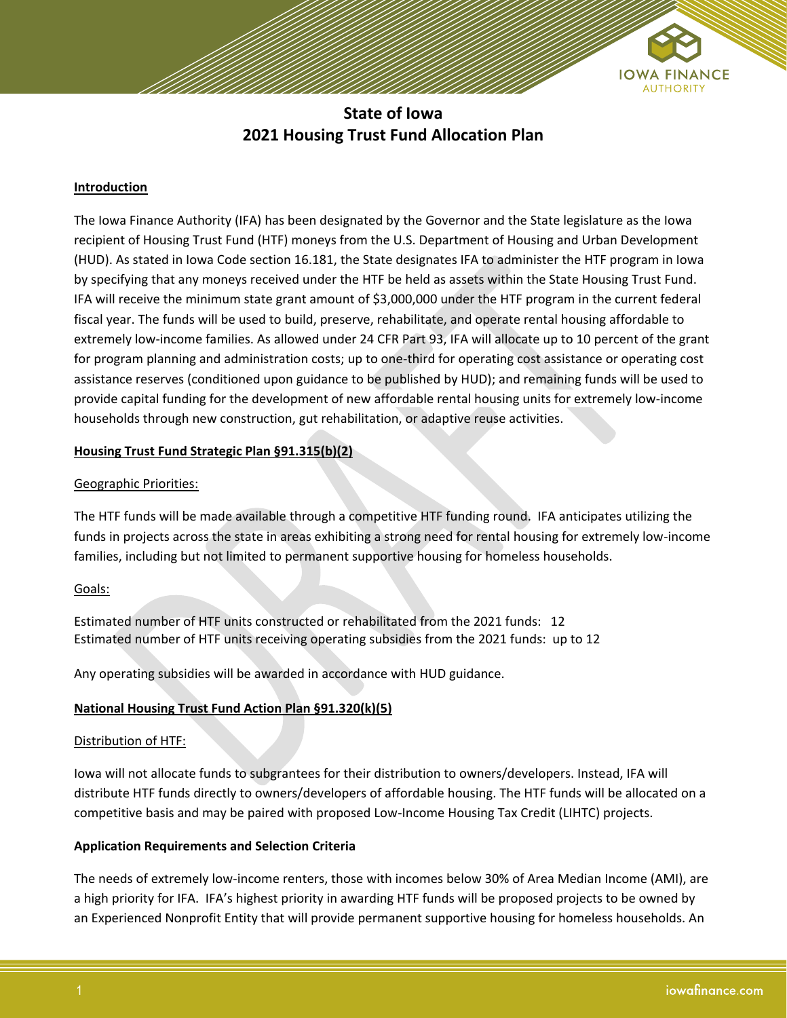

**State of Iowa 2021 Housing Trust Fund Allocation Plan**

## **Introduction**

The Iowa Finance Authority (IFA) has been designated by the Governor and the State legislature as the Iowa recipient of Housing Trust Fund (HTF) moneys from the U.S. Department of Housing and Urban Development (HUD). As stated in Iowa Code section 16.181, the State designates IFA to administer the HTF program in Iowa by specifying that any moneys received under the HTF be held as assets within the State Housing Trust Fund. IFA will receive the minimum state grant amount of \$3,000,000 under the HTF program in the current federal fiscal year. The funds will be used to build, preserve, rehabilitate, and operate rental housing affordable to extremely low‐income families. As allowed under 24 CFR Part 93, IFA will allocate up to 10 percent of the grant for program planning and administration costs; up to one-third for operating cost assistance or operating cost assistance reserves (conditioned upon guidance to be published by HUD); and remaining funds will be used to provide capital funding for the development of new affordable rental housing units for extremely low-income households through new construction, gut rehabilitation, or adaptive reuse activities.

## **Housing Trust Fund Strategic Plan §91.315(b)(2)**

#### Geographic Priorities:

The HTF funds will be made available through a competitive HTF funding round. IFA anticipates utilizing the funds in projects across the state in areas exhibiting a strong need for rental housing for extremely low-income families, including but not limited to permanent supportive housing for homeless households.

#### Goals:

Estimated number of HTF units constructed or rehabilitated from the 2021 funds: 12 Estimated number of HTF units receiving operating subsidies from the 2021 funds: up to 12

Any operating subsidies will be awarded in accordance with HUD guidance.

## **National Housing Trust Fund Action Plan §91.320(k)(5)**

#### Distribution of HTF:

Iowa will not allocate funds to subgrantees for their distribution to owners/developers. Instead, IFA will distribute HTF funds directly to owners/developers of affordable housing. The HTF funds will be allocated on a competitive basis and may be paired with proposed Low-Income Housing Tax Credit (LIHTC) projects.

## **Application Requirements and Selection Criteria**

The needs of extremely low-income renters, those with incomes below 30% of Area Median Income (AMI), are a high priority for IFA. IFA's highest priority in awarding HTF funds will be proposed projects to be owned by an Experienced Nonprofit Entity that will provide permanent supportive housing for homeless households. An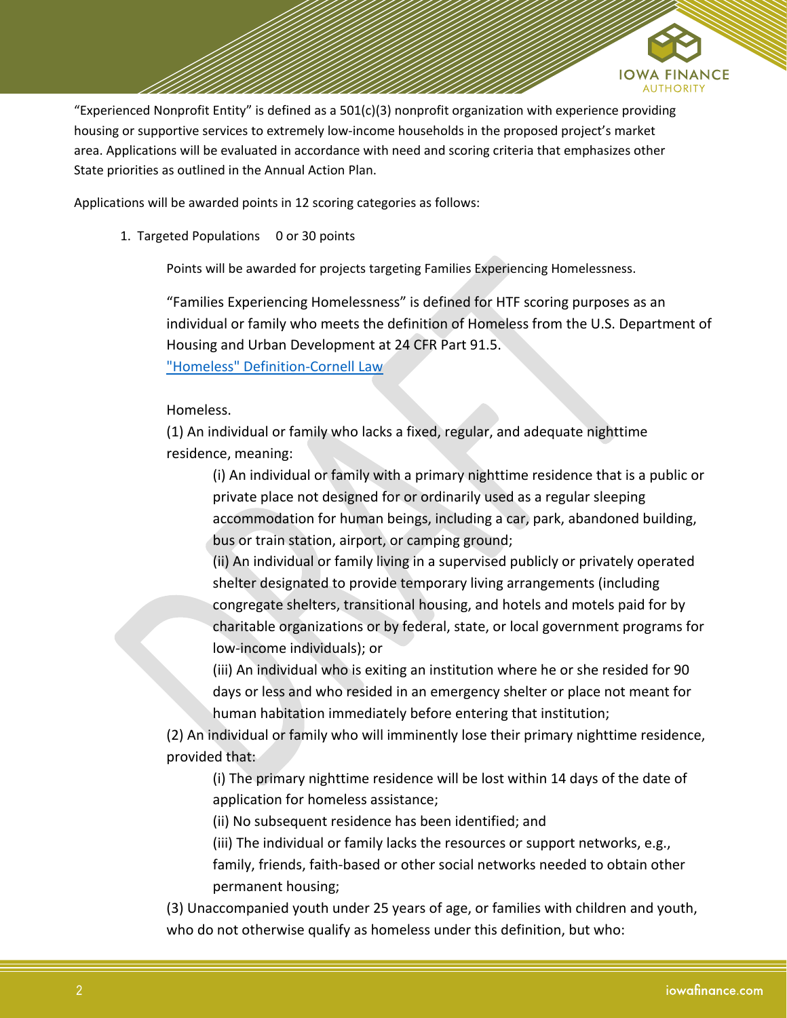

"Experienced Nonprofit Entity" is defined as a  $501(c)(3)$  nonprofit organization with experience providing housing or supportive services to extremely low-income households in the proposed project's market area. Applications will be evaluated in accordance with need and scoring criteria that emphasizes other State priorities as outlined in the Annual Action Plan.

Applications will be awarded points in 12 scoring categories as follows:

1. Targeted Populations 0 or 30 points

Points will be awarded for projects targeting Families Experiencing Homelessness.

"Families Experiencing Homelessness" is defined for HTF scoring purposes as an individual or family who meets the definition of Homeless from the U.S. Department of Housing and Urban Development at 24 CFR Part 91.5.

["Homeless" Definition-Cornell Law](https://www.law.cornell.edu/cfr/text/24/91.5)

#### Homeless.

(1) An individual or family who lacks a fixed, regular, and adequate nighttime residence, meaning:

(i) An individual or family with a primary nighttime residence that is a public or private place not designed for or ordinarily used as a regular sleeping accommodation for human beings, including a car, park, abandoned building, bus or train station, airport, or camping ground;

(ii) An individual or family living in a supervised publicly or privately operated shelter designated to provide temporary living arrangements (including congregate shelters, transitional housing, and hotels and motels paid for by charitable organizations or by federal, state, or local government programs for low-income individuals); or

(iii) An individual who is exiting an institution where he or she resided for 90 days or less and who resided in an emergency shelter or place not meant for human habitation immediately before entering that institution;

(2) An individual or family who will imminently lose their primary nighttime residence, provided that:

(i) The primary nighttime residence will be lost within 14 days of the date of application for homeless assistance;

(ii) No subsequent residence has been identified; and

(iii) The individual or family lacks the resources or support networks, e.g., family, friends, faith-based or other social networks needed to obtain other

permanent housing;

(3) Unaccompanied youth under 25 years of age, or families with children and youth, who do not otherwise qualify as homeless under this definition, but who: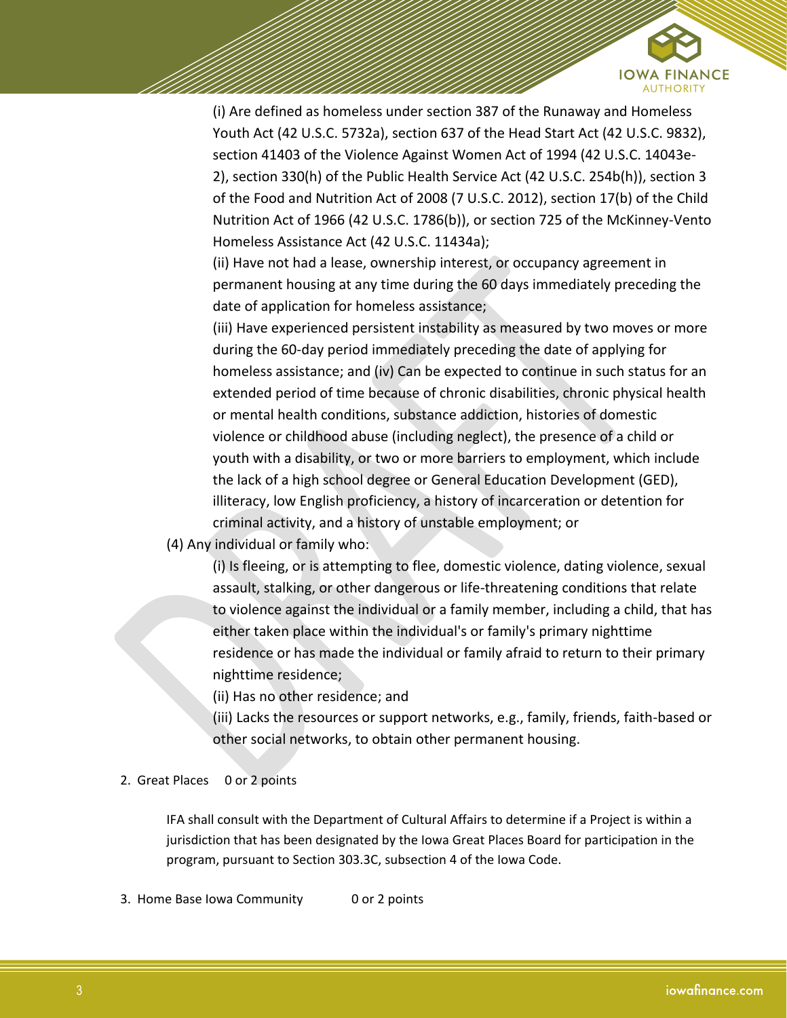

(i) Are defined as homeless under section 387 of the Runaway and Homeless Youth Act (42 U.S.C. 5732a), section 637 of the Head Start Act (42 U.S.C. 9832), section 41403 of the Violence Against Women Act of 1994 (42 U.S.C. 14043e-2), section 330(h) of the Public Health Service Act (42 U.S.C. 254b(h)), section 3 of the Food and Nutrition Act of 2008 (7 U.S.C. 2012), section 17(b) of the Child Nutrition Act of 1966 (42 U.S.C. 1786(b)), or section 725 of the McKinney-Vento Homeless Assistance Act (42 U.S.C. 11434a);

(ii) Have not had a lease, ownership interest, or occupancy agreement in permanent housing at any time during the 60 days immediately preceding the date of application for homeless assistance;

(iii) Have experienced persistent instability as measured by two moves or more during the 60-day period immediately preceding the date of applying for homeless assistance; and (iv) Can be expected to continue in such status for an extended period of time because of chronic disabilities, chronic physical health or mental health conditions, substance addiction, histories of domestic violence or childhood abuse (including neglect), the presence of a child or youth with a disability, or two or more barriers to employment, which include the lack of a high school degree or General Education Development (GED), illiteracy, low English proficiency, a history of incarceration or detention for criminal activity, and a history of unstable employment; or

# (4) Any individual or family who:

(i) Is fleeing, or is attempting to flee, domestic violence, dating violence, sexual assault, stalking, or other dangerous or life-threatening conditions that relate to violence against the individual or a family member, including a child, that has either taken place within the individual's or family's primary nighttime residence or has made the individual or family afraid to return to their primary nighttime residence;

(ii) Has no other residence; and

(iii) Lacks the resources or support networks, e.g., family, friends, faith-based or other social networks, to obtain other permanent housing.

## 2. Great Places 0 or 2 points

IFA shall consult with the Department of Cultural Affairs to determine if a Project is within a jurisdiction that has been designated by the Iowa Great Places Board for participation in the program, pursuant to Section 303.3C, subsection 4 of the Iowa Code.

3. Home Base Iowa Community 0 or 2 points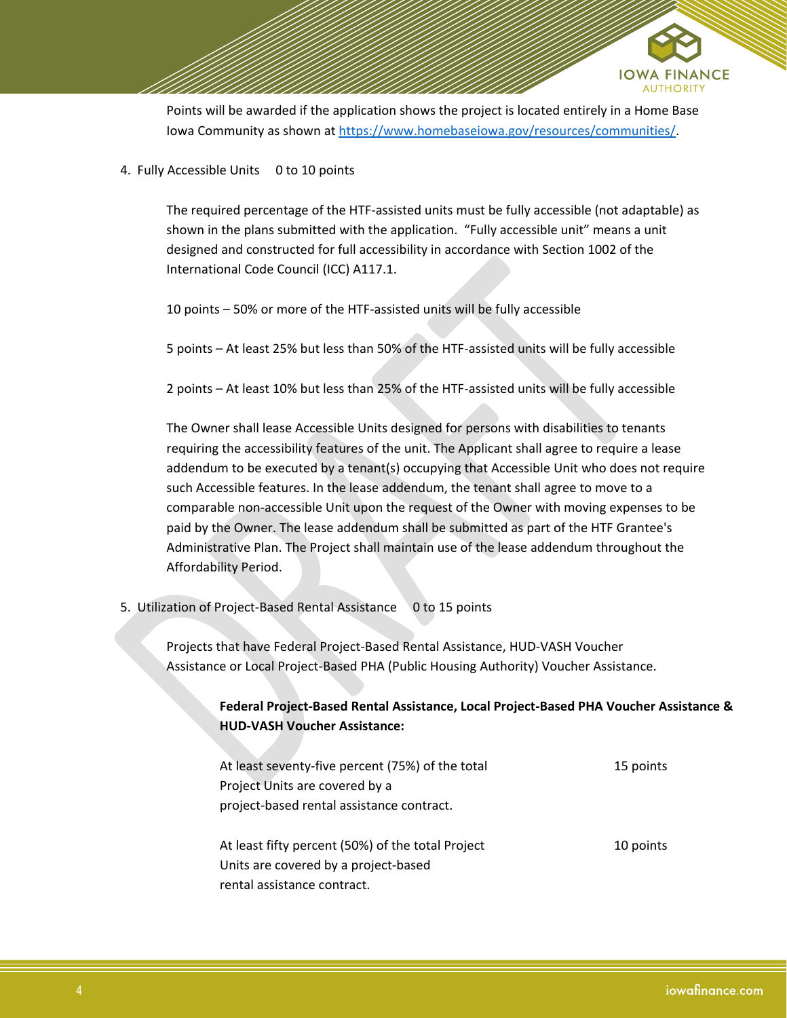

Points will be awarded if the application shows the project is located entirely in a Home Base Iowa Community as shown at [https://www.homebaseiowa.gov/resources/communities/.](https://www.homebaseiowa.gov/resources/communities/)

4. Fully Accessible Units 0 to 10 points

The required percentage of the HTF-assisted units must be fully accessible (not adaptable) as shown in the plans submitted with the application. "Fully accessible unit" means a unit designed and constructed for full accessibility in accordance with Section 1002 of the International Code Council (ICC) A117.1.

10 points – 50% or more of the HTF-assisted units will be fully accessible

5 points – At least 25% but less than 50% of the HTF-assisted units will be fully accessible

2 points – At least 10% but less than 25% of the HTF-assisted units will be fully accessible

The Owner shall lease Accessible Units designed for persons with disabilities to tenants requiring the accessibility features of the unit. The Applicant shall agree to require a lease addendum to be executed by a tenant(s) occupying that Accessible Unit who does not require such Accessible features. In the lease addendum, the tenant shall agree to move to a comparable non-accessible Unit upon the request of the Owner with moving expenses to be paid by the Owner. The lease addendum shall be submitted as part of the HTF Grantee's Administrative Plan. The Project shall maintain use of the lease addendum throughout the Affordability Period.

5. Utilization of Project-Based Rental Assistance 0 to 15 points

Projects that have Federal Project-Based Rental Assistance, HUD-VASH Voucher Assistance or Local Project-Based PHA (Public Housing Authority) Voucher Assistance.

> **Federal Project-Based Rental Assistance, Local Project-Based PHA Voucher Assistance & HUD-VASH Voucher Assistance:**

| At least seventy-five percent (75%) of the total  | 15 points |
|---------------------------------------------------|-----------|
| Project Units are covered by a                    |           |
| project-based rental assistance contract.         |           |
|                                                   |           |
| At least fifty percent (50%) of the total Project | 10 points |
| Units are covered by a project-based              |           |
| rental assistance contract.                       |           |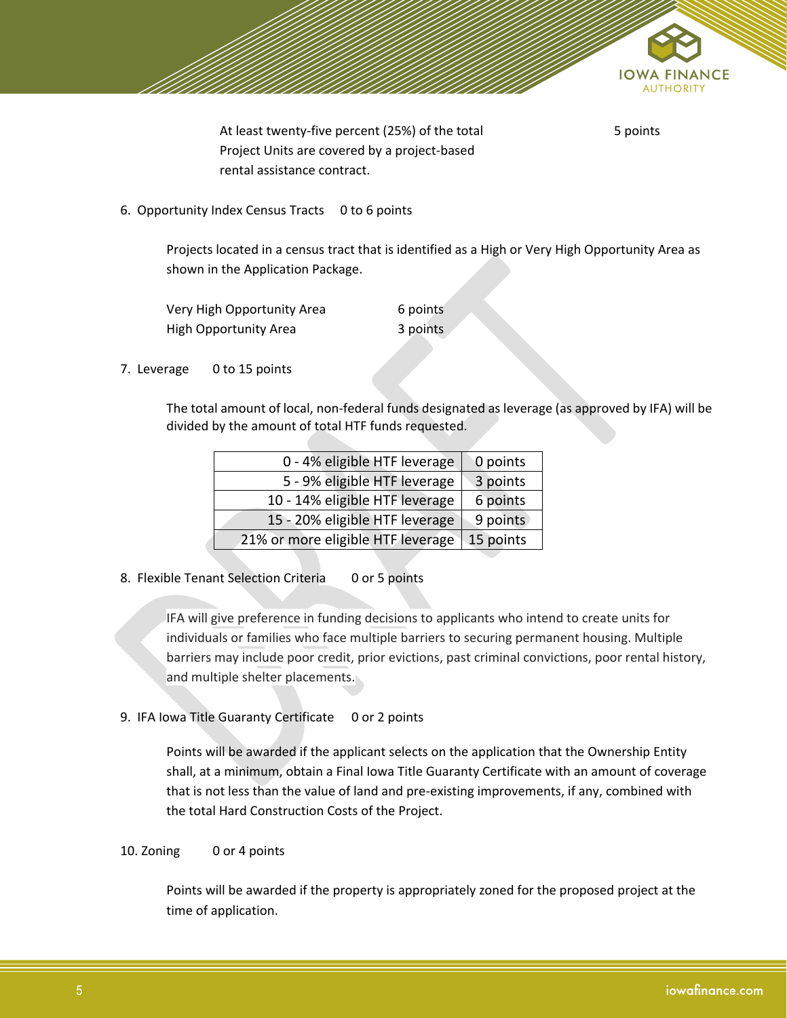

At least twenty-five percent (25%) of the total Project Units are covered by a project-based rental assistance contract.

5 points

6. Opportunity Index Census Tracts 0 to 6 points

Projects located in a census tract that is identified as a High or Very High Opportunity Area as shown in the Application Package.

| Very High Opportunity Area   | 6 points |
|------------------------------|----------|
| <b>High Opportunity Area</b> | 3 points |

7. Leverage 0 to 15 points

The total amount of local, non-federal funds designated as leverage (as approved by IFA) will be divided by the amount of total HTF funds requested.

| 0 - 4% eligible HTF leverage      | 0 points  |
|-----------------------------------|-----------|
| 5 - 9% eligible HTF leverage      | 3 points  |
| 10 - 14% eligible HTF leverage    | 6 points  |
| 15 - 20% eligible HTF leverage    | 9 points  |
| 21% or more eligible HTF leverage | 15 points |

8. Flexible Tenant Selection Criteria 0 or 5 points

IFA will give preference in funding decisions to applicants who intend to create units for individuals or families who face multiple barriers to securing permanent housing. Multiple barriers may include poor credit, prior evictions, past criminal convictions, poor rental history, and multiple shelter placements.

9. IFA Iowa Title Guaranty Certificate 0 or 2 points

Points will be awarded if the applicant selects on the application that the Ownership Entity shall, at a minimum, obtain a Final Iowa Title Guaranty Certificate with an amount of coverage that is not less than the value of land and pre-existing improvements, if any, combined with the total Hard Construction Costs of the Project.

#### 10. Zoning 0 or 4 points

Points will be awarded if the property is appropriately zoned for the proposed project at the time of application.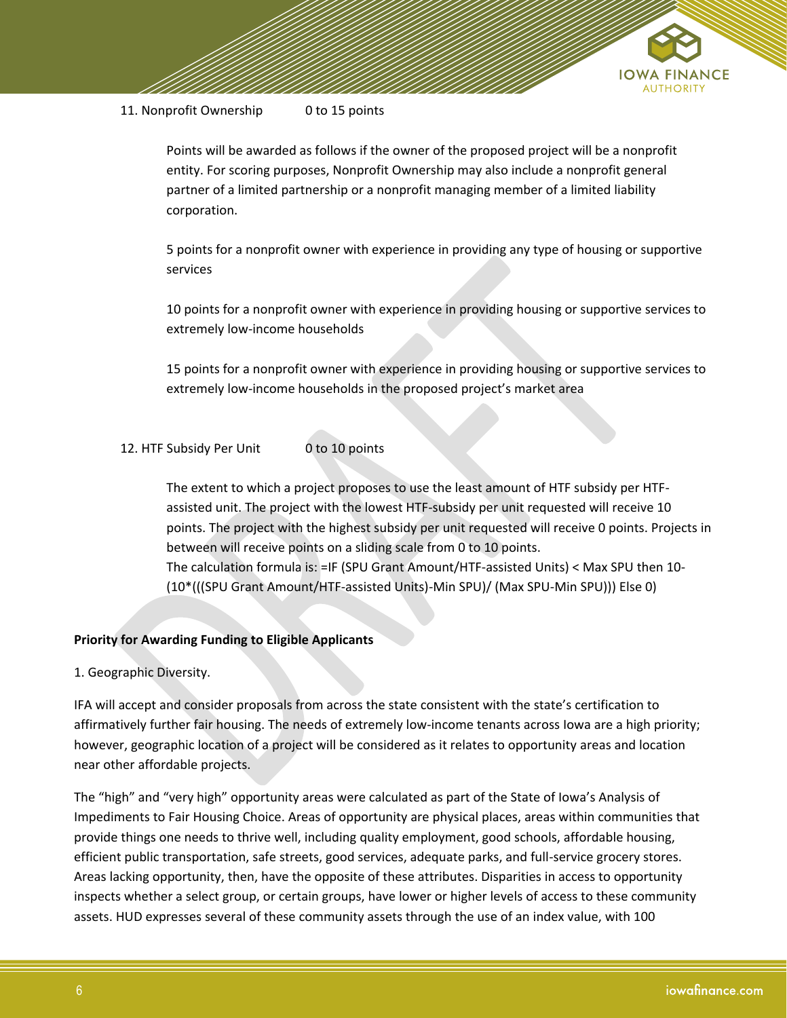

#### 11. Nonprofit Ownership 0 to 15 points

Points will be awarded as follows if the owner of the proposed project will be a nonprofit entity. For scoring purposes, Nonprofit Ownership may also include a nonprofit general partner of a limited partnership or a nonprofit managing member of a limited liability corporation.

5 points for a nonprofit owner with experience in providing any type of housing or supportive services

10 points for a nonprofit owner with experience in providing housing or supportive services to extremely low-income households

15 points for a nonprofit owner with experience in providing housing or supportive services to extremely low-income households in the proposed project's market area

# 12. HTF Subsidy Per Unit 0 to 10 points

The extent to which a project proposes to use the least amount of HTF subsidy per HTFassisted unit. The project with the lowest HTF-subsidy per unit requested will receive 10 points. The project with the highest subsidy per unit requested will receive 0 points. Projects in between will receive points on a sliding scale from 0 to 10 points. The calculation formula is: =IF (SPU Grant Amount/HTF-assisted Units) < Max SPU then 10- (10\*(((SPU Grant Amount/HTF-assisted Units)-Min SPU)/ (Max SPU-Min SPU))) Else 0)

## **Priority for Awarding Funding to Eligible Applicants**

## 1. Geographic Diversity.

IFA will accept and consider proposals from across the state consistent with the state's certification to affirmatively further fair housing. The needs of extremely low‐income tenants across Iowa are a high priority; however, geographic location of a project will be considered as it relates to opportunity areas and location near other affordable projects.

The "high" and "very high" opportunity areas were calculated as part of the State of Iowa's Analysis of Impediments to Fair Housing Choice. Areas of opportunity are physical places, areas within communities that provide things one needs to thrive well, including quality employment, good schools, affordable housing, efficient public transportation, safe streets, good services, adequate parks, and full-service grocery stores. Areas lacking opportunity, then, have the opposite of these attributes. Disparities in access to opportunity inspects whether a select group, or certain groups, have lower or higher levels of access to these community assets. HUD expresses several of these community assets through the use of an index value, with 100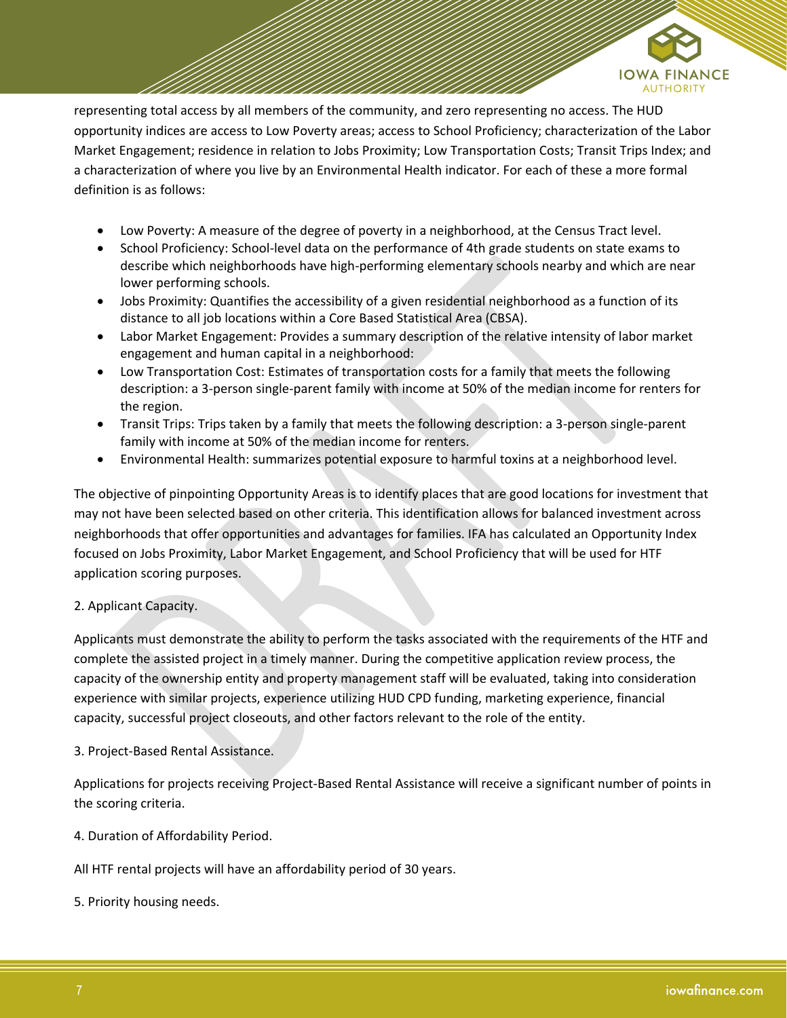

representing total access by all members of the community, and zero representing no access. The HUD opportunity indices are access to Low Poverty areas; access to School Proficiency; characterization of the Labor Market Engagement; residence in relation to Jobs Proximity; Low Transportation Costs; Transit Trips Index; and a characterization of where you live by an Environmental Health indicator. For each of these a more formal definition is as follows:

- Low Poverty: A measure of the degree of poverty in a neighborhood, at the Census Tract level.
- School Proficiency: School-level data on the performance of 4th grade students on state exams to describe which neighborhoods have high-performing elementary schools nearby and which are near lower performing schools.
- Jobs Proximity: Quantifies the accessibility of a given residential neighborhood as a function of its distance to all job locations within a Core Based Statistical Area (CBSA).
- Labor Market Engagement: Provides a summary description of the relative intensity of labor market engagement and human capital in a neighborhood:
- Low Transportation Cost: Estimates of transportation costs for a family that meets the following description: a 3-person single-parent family with income at 50% of the median income for renters for the region.
- Transit Trips: Trips taken by a family that meets the following description: a 3-person single-parent family with income at 50% of the median income for renters.
- Environmental Health: summarizes potential exposure to harmful toxins at a neighborhood level.

The objective of pinpointing Opportunity Areas is to identify places that are good locations for investment that may not have been selected based on other criteria. This identification allows for balanced investment across neighborhoods that offer opportunities and advantages for families. IFA has calculated an Opportunity Index focused on Jobs Proximity, Labor Market Engagement, and School Proficiency that will be used for HTF application scoring purposes.

# 2. Applicant Capacity.

Applicants must demonstrate the ability to perform the tasks associated with the requirements of the HTF and complete the assisted project in a timely manner. During the competitive application review process, the capacity of the ownership entity and property management staff will be evaluated, taking into consideration experience with similar projects, experience utilizing HUD CPD funding, marketing experience, financial capacity, successful project closeouts, and other factors relevant to the role of the entity.

## 3. Project‐Based Rental Assistance.

Applications for projects receiving Project-Based Rental Assistance will receive a significant number of points in the scoring criteria.

4. Duration of Affordability Period.

All HTF rental projects will have an affordability period of 30 years.

5. Priority housing needs.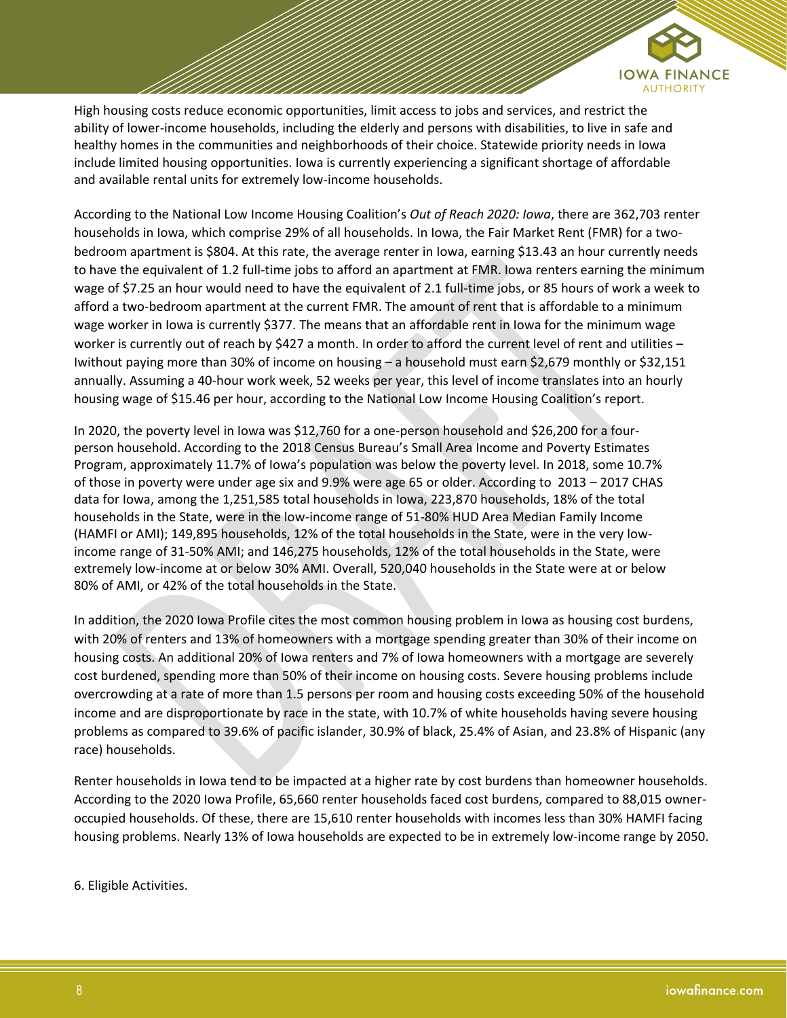

High housing costs reduce economic opportunities, limit access to jobs and services, and restrict the ability of lower-income households, including the elderly and persons with disabilities, to live in safe and healthy homes in the communities and neighborhoods of their choice. Statewide priority needs in Iowa include limited housing opportunities. Iowa is currently experiencing a significant shortage of affordable and available rental units for extremely low-income households.

According to the National Low Income Housing Coalition's *Out of Reach 2020: Iowa*, there are 362,703 renter households in Iowa, which comprise 29% of all households. In Iowa, the Fair Market Rent (FMR) for a twobedroom apartment is \$804. At this rate, the average renter in Iowa, earning \$13.43 an hour currently needs to have the equivalent of 1.2 full-time jobs to afford an apartment at FMR. Iowa renters earning the minimum wage of \$7.25 an hour would need to have the equivalent of 2.1 full-time jobs, or 85 hours of work a week to afford a two-bedroom apartment at the current FMR. The amount of rent that is affordable to a minimum wage worker in Iowa is currently \$377. The means that an affordable rent in Iowa for the minimum wage worker is currently out of reach by \$427 a month. In order to afford the current level of rent and utilities – Iwithout paying more than 30% of income on housing – a household must earn \$2,679 monthly or \$32,151 annually. Assuming a 40-hour work week, 52 weeks per year, this level of income translates into an hourly housing wage of \$15.46 per hour, according to the National Low Income Housing Coalition's report.

In 2020, the poverty level in Iowa was \$12,760 for a one-person household and \$26,200 for a fourperson household. According to the 2018 Census Bureau's Small Area Income and Poverty Estimates Program, approximately 11.7% of Iowa's population was below the poverty level. In 2018, some 10.7% of those in poverty were under age six and 9.9% were age 65 or older. According to 2013 – 2017 CHAS data for Iowa, among the 1,251,585 total households in Iowa, 223,870 households, 18% of the total households in the State, were in the low-income range of 51-80% HUD Area Median Family Income (HAMFI or AMI); 149,895 households, 12% of the total households in the State, were in the very lowincome range of 31-50% AMI; and 146,275 households, 12% of the total households in the State, were extremely low-income at or below 30% AMI. Overall, 520,040 households in the State were at or below 80% of AMI, or 42% of the total households in the State.

In addition, the 2020 Iowa Profile cites the most common housing problem in Iowa as housing cost burdens, with 20% of renters and 13% of homeowners with a mortgage spending greater than 30% of their income on housing costs. An additional 20% of Iowa renters and 7% of Iowa homeowners with a mortgage are severely cost burdened, spending more than 50% of their income on housing costs. Severe housing problems include overcrowding at a rate of more than 1.5 persons per room and housing costs exceeding 50% of the household income and are disproportionate by race in the state, with 10.7% of white households having severe housing problems as compared to 39.6% of pacific islander, 30.9% of black, 25.4% of Asian, and 23.8% of Hispanic (any race) households.

Renter households in Iowa tend to be impacted at a higher rate by cost burdens than homeowner households. According to the 2020 Iowa Profile, 65,660 renter households faced cost burdens, compared to 88,015 owneroccupied households. Of these, there are 15,610 renter households with incomes less than 30% HAMFI facing housing problems. Nearly 13% of Iowa households are expected to be in extremely low-income range by 2050.

6. Eligible Activities.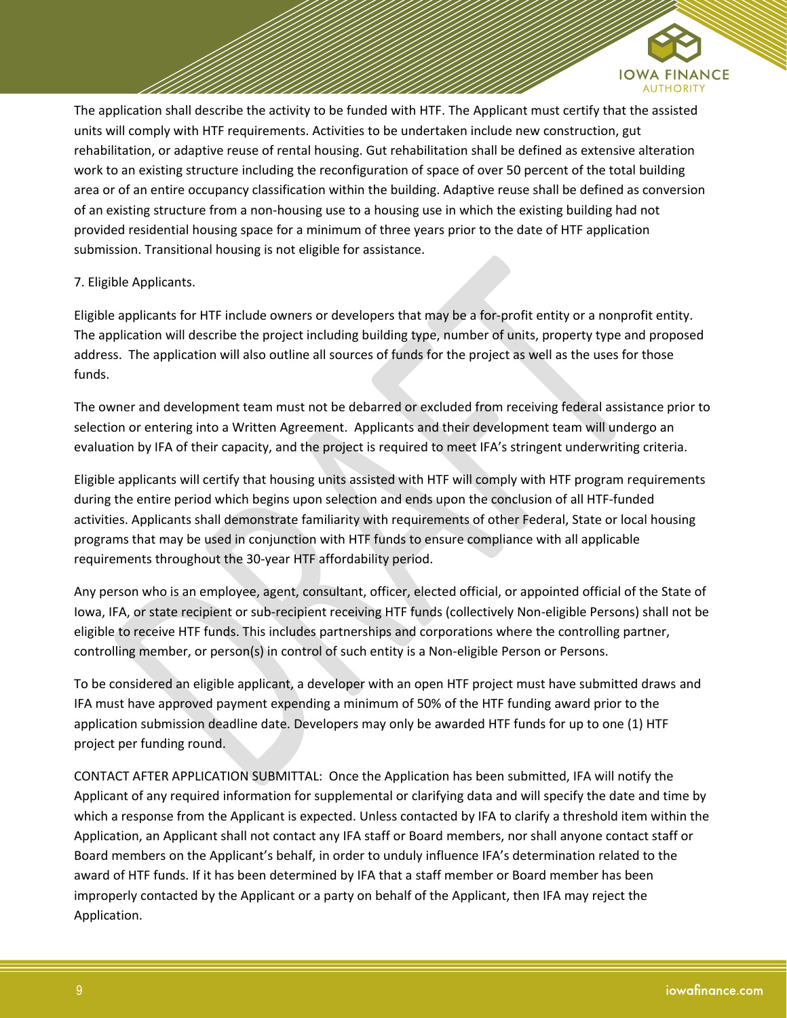

The application shall describe the activity to be funded with HTF. The Applicant must certify that the assisted units will comply with HTF requirements. Activities to be undertaken include new construction, gut rehabilitation, or adaptive reuse of rental housing. Gut rehabilitation shall be defined as extensive alteration work to an existing structure including the reconfiguration of space of over 50 percent of the total building area or of an entire occupancy classification within the building. Adaptive reuse shall be defined as conversion of an existing structure from a non-housing use to a housing use in which the existing building had not provided residential housing space for a minimum of three years prior to the date of HTF application submission. Transitional housing is not eligible for assistance.

# 7. Eligible Applicants.

Eligible applicants for HTF include owners or developers that may be a for-profit entity or a nonprofit entity. The application will describe the project including building type, number of units, property type and proposed address. The application will also outline all sources of funds for the project as well as the uses for those funds.

The owner and development team must not be debarred or excluded from receiving federal assistance prior to selection or entering into a Written Agreement. Applicants and their development team will undergo an evaluation by IFA of their capacity, and the project is required to meet IFA's stringent underwriting criteria.

Eligible applicants will certify that housing units assisted with HTF will comply with HTF program requirements during the entire period which begins upon selection and ends upon the conclusion of all HTF‐funded activities. Applicants shall demonstrate familiarity with requirements of other Federal, State or local housing programs that may be used in conjunction with HTF funds to ensure compliance with all applicable requirements throughout the 30-year HTF affordability period.

Any person who is an employee, agent, consultant, officer, elected official, or appointed official of the State of Iowa, IFA, or state recipient or sub-recipient receiving HTF funds (collectively Non-eligible Persons) shall not be eligible to receive HTF funds. This includes partnerships and corporations where the controlling partner, controlling member, or person(s) in control of such entity is a Non-eligible Person or Persons.

To be considered an eligible applicant, a developer with an open HTF project must have submitted draws and IFA must have approved payment expending a minimum of 50% of the HTF funding award prior to the application submission deadline date. Developers may only be awarded HTF funds for up to one (1) HTF project per funding round.

CONTACT AFTER APPLICATION SUBMITTAL: Once the Application has been submitted, IFA will notify the Applicant of any required information for supplemental or clarifying data and will specify the date and time by which a response from the Applicant is expected. Unless contacted by IFA to clarify a threshold item within the Application, an Applicant shall not contact any IFA staff or Board members, nor shall anyone contact staff or Board members on the Applicant's behalf, in order to unduly influence IFA's determination related to the award of HTF funds. If it has been determined by IFA that a staff member or Board member has been improperly contacted by the Applicant or a party on behalf of the Applicant, then IFA may reject the Application.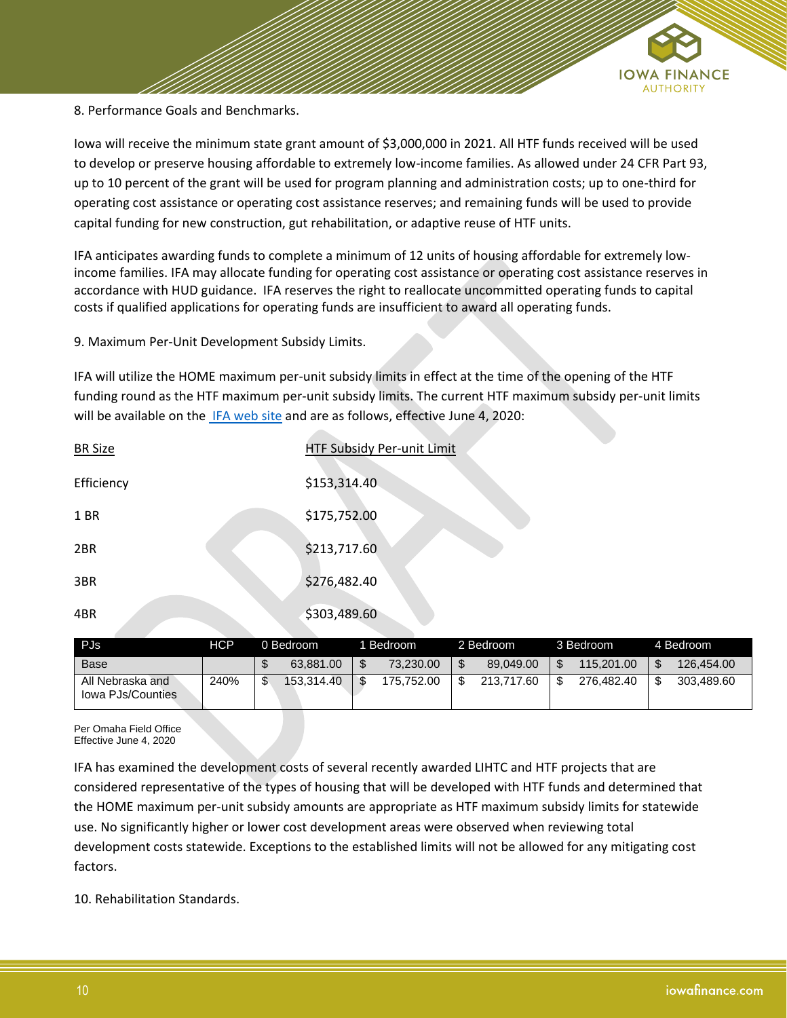

8. Performance Goals and Benchmarks.

Iowa will receive the minimum state grant amount of \$3,000,000 in 2021. All HTF funds received will be used to develop or preserve housing affordable to extremely low-income families. As allowed under 24 CFR Part 93, up to 10 percent of the grant will be used for program planning and administration costs; up to one-third for operating cost assistance or operating cost assistance reserves; and remaining funds will be used to provide capital funding for new construction, gut rehabilitation, or adaptive reuse of HTF units.

IFA anticipates awarding funds to complete a minimum of 12 units of housing affordable for extremely low‐ income families. IFA may allocate funding for operating cost assistance or operating cost assistance reserves in accordance with HUD guidance. IFA reserves the right to reallocate uncommitted operating funds to capital costs if qualified applications for operating funds are insufficient to award all operating funds.

9. Maximum Per‐Unit Development Subsidy Limits.

IFA will utilize the HOME maximum per-unit subsidy limits in effect at the time of the opening of the HTF funding round as the HTF maximum per-unit subsidy limits. The current HTF maximum subsidy per-unit limits will be available on the [IFA web site](https://www.iowafinance.com/programs-for-property-developers/national-housing-trust-fund/) and are as follows, effective June 4, 2020:

| <b>BR Size</b> | HTF Subsidy Per-unit Limit |  |
|----------------|----------------------------|--|
| Efficiency     | \$153,314.40               |  |
| 1 BR           | \$175,752.00               |  |
| 2BR            | \$213,717.60               |  |
| 3BR            | \$276,482.40               |  |
| 4BR            | \$303,489.60               |  |

| <b>PJs</b>                            | HCP  | 0 Bedroom  |        | 1 Bedroom  | 2 Bedroom  | 3 Bedroom  | 4 Bedroom        |
|---------------------------------------|------|------------|--------|------------|------------|------------|------------------|
| <b>Base</b>                           |      | 63.881.00  | æ<br>J | 73.230.00  | 89.049.00  | 115.201.00 | \$<br>126.454.00 |
| All Nebraska and<br>lowa PJs/Counties | 240% | 153.314.40 | œ      | 175.752.00 | 213.717.60 | 276.482.40 | \$<br>303.489.60 |

Per Omaha Field Office Effective June 4, 2020

IFA has examined the development costs of several recently awarded LIHTC and HTF projects that are considered representative of the types of housing that will be developed with HTF funds and determined that the HOME maximum per-unit subsidy amounts are appropriate as HTF maximum subsidy limits for statewide use. No significantly higher or lower cost development areas were observed when reviewing total development costs statewide. Exceptions to the established limits will not be allowed for any mitigating cost factors.

10. Rehabilitation Standards.